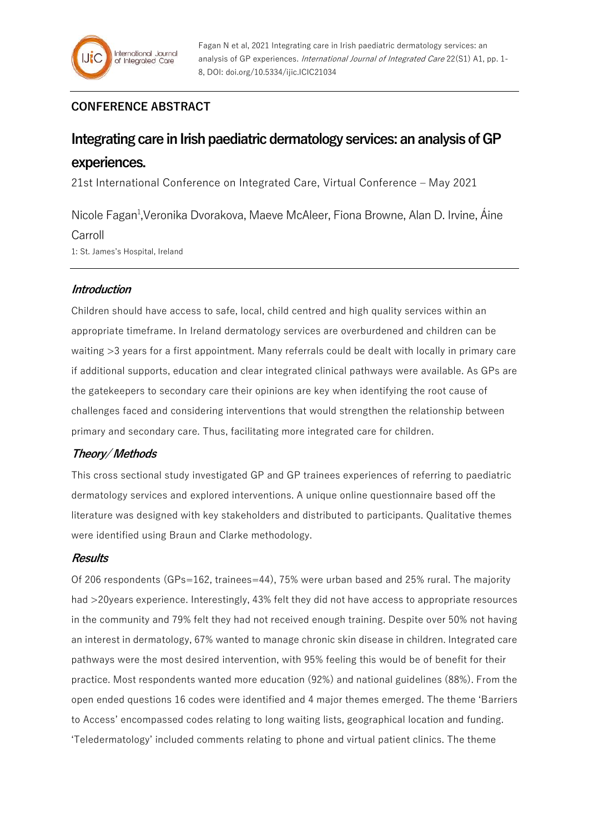## **CONFERENCE ABSTRACT**

# **Integrating care in Irish paediatric dermatology services: an analysis of GP experiences.**

21st International Conference on Integrated Care, Virtual Conference – May 2021

Nicole Fagan<sup>1</sup>, Veronika Dvorakova, Maeve McAleer, Fiona Browne, Alan D. Irvine, Áine Carroll 1: St. James's Hospital, Ireland

## **Introduction**

Children should have access to safe, local, child centred and high quality services within an appropriate timeframe. In Ireland dermatology services are overburdened and children can be waiting >3 years for a first appointment. Many referrals could be dealt with locally in primary care if additional supports, education and clear integrated clinical pathways were available. As GPs are the gatekeepers to secondary care their opinions are key when identifying the root cause of challenges faced and considering interventions that would strengthen the relationship between primary and secondary care. Thus, facilitating more integrated care for children.

## **Theory/ Methods**

This cross sectional study investigated GP and GP trainees experiences of referring to paediatric dermatology services and explored interventions. A unique online questionnaire based off the literature was designed with key stakeholders and distributed to participants. Qualitative themes were identified using Braun and Clarke methodology.

## **Results**

Of 206 respondents (GPs=162, trainees=44), 75% were urban based and 25% rural. The majority had >20years experience. Interestingly, 43% felt they did not have access to appropriate resources in the community and 79% felt they had not received enough training. Despite over 50% not having an interest in dermatology, 67% wanted to manage chronic skin disease in children. Integrated care pathways were the most desired intervention, with 95% feeling this would be of benefit for their practice. Most respondents wanted more education (92%) and national guidelines (88%). From the open ended questions 16 codes were identified and 4 major themes emerged. The theme 'Barriers to Access' encompassed codes relating to long waiting lists, geographical location and funding. 'Teledermatology' included comments relating to phone and virtual patient clinics. The theme